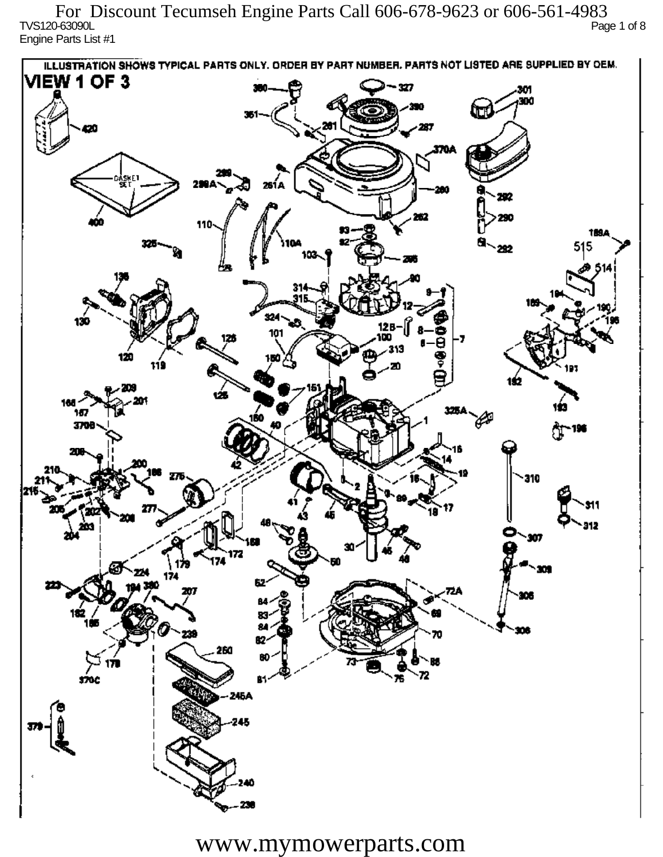TVS120-63090L Page 1 of 8 Engine Parts List #1 For Discount Tecumseh Engine Parts Call 606-678-9623 or 606-561-4983

ILLUSTRATION SHOWS TYPICAL PARTS ONLY. ORDER BY PART NUMBER, PARTS NOT LISTED ARE SUPPLIED BY DEM. **VIEW 1 OF 3** - 327 301 300 20 370A iskF1 261 A ж 292 290 110 1894 515 292 324 130 12 R 101 313 120 دھر 1ś2 ÚБ 160 167 160 P 3709 196 77 310 912 201 Ô,  $\mathbf{m}$ 172 174 174 182 ÷. ß2 260 72 sioc 76 Ŕ٦ 245A 245

www.mymowerparts.com

40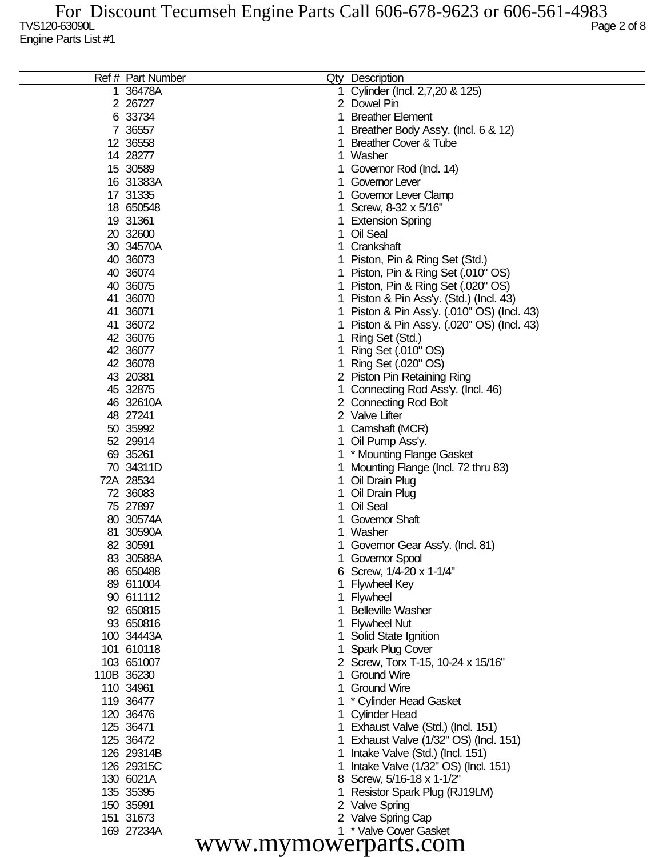| Ref # Part Number    |  | Qty Description                           |  |  |  |
|----------------------|--|-------------------------------------------|--|--|--|
| 1 36478A             |  | Cylinder (Incl. 2,7,20 & 125)             |  |  |  |
| 2 26727              |  | 2 Dowel Pin                               |  |  |  |
| 6 33734              |  | <b>Breather Element</b>                   |  |  |  |
| 7 36557              |  | Breather Body Ass'y. (Incl. 6 & 12)       |  |  |  |
| 12 36558             |  | <b>Breather Cover &amp; Tube</b>          |  |  |  |
| 14 28277             |  | Washer                                    |  |  |  |
| 15 30589             |  | Governor Rod (Incl. 14)                   |  |  |  |
| 16 31383A            |  | Governor Lever                            |  |  |  |
| 17 31335             |  | Governor Lever Clamp                      |  |  |  |
| 18 650548            |  | Screw, 8-32 x 5/16"                       |  |  |  |
| 19 31361             |  | <b>Extension Spring</b>                   |  |  |  |
| 20 32600             |  | Oil Seal                                  |  |  |  |
| 30 34570A            |  | Crankshaft                                |  |  |  |
| 40 36073             |  | Piston, Pin & Ring Set (Std.)             |  |  |  |
| 40 36074             |  | Piston, Pin & Ring Set (.010" OS)         |  |  |  |
| 40 36075             |  | Piston, Pin & Ring Set (.020" OS)         |  |  |  |
| 41 36070             |  | Piston & Pin Ass'y. (Std.) (Incl. 43)     |  |  |  |
| 41 36071             |  | Piston & Pin Ass'y. (.010" OS) (Incl. 43) |  |  |  |
| 41 36072             |  |                                           |  |  |  |
|                      |  | Piston & Pin Ass'y. (.020" OS) (Incl. 43) |  |  |  |
| 42 36076             |  | Ring Set (Std.)                           |  |  |  |
| 42 36077             |  | Ring Set (.010" OS)                       |  |  |  |
| 42 36078             |  | Ring Set (.020" OS)                       |  |  |  |
| 43 20381             |  | 2 Piston Pin Retaining Ring               |  |  |  |
| 45 32875             |  | Connecting Rod Ass'y. (Incl. 46)          |  |  |  |
| 46 32610A            |  | 2 Connecting Rod Bolt                     |  |  |  |
| 48 27241             |  | 2 Valve Lifter                            |  |  |  |
| 50 35992             |  | Camshaft (MCR)                            |  |  |  |
| 52 29914             |  | Oil Pump Ass'y.                           |  |  |  |
| 69 35261             |  | * Mounting Flange Gasket                  |  |  |  |
| 70 34311D            |  | Mounting Flange (Incl. 72 thru 83)        |  |  |  |
| 72A 28534            |  | Oil Drain Plug                            |  |  |  |
| 72 36083             |  | Oil Drain Plug                            |  |  |  |
| 75 27897             |  | Oil Seal                                  |  |  |  |
| 80 30574A            |  | <b>Governor Shaft</b>                     |  |  |  |
| 81 30590A            |  | Washer                                    |  |  |  |
| 82 30591             |  | Governor Gear Ass'y. (Incl. 81)           |  |  |  |
| 83 30588A            |  | Governor Spool                            |  |  |  |
| 86 650488            |  | 6 Screw, 1/4-20 x 1-1/4"                  |  |  |  |
| 89 611004            |  | <b>Flywheel Key</b>                       |  |  |  |
| 90 611112            |  | Flywheel                                  |  |  |  |
| 92 650815            |  | <b>Belleville Washer</b>                  |  |  |  |
| 93 650816            |  | <b>Flywheel Nut</b>                       |  |  |  |
| 100 34443A           |  | Solid State Ignition                      |  |  |  |
| 101 610118           |  | Spark Plug Cover                          |  |  |  |
| 103 651007           |  | 2 Screw, Torx T-15, 10-24 x 15/16"        |  |  |  |
| 110B 36230           |  | <b>Ground Wire</b>                        |  |  |  |
| 110 34961            |  | <b>Ground Wire</b>                        |  |  |  |
| 119 36477            |  | * Cylinder Head Gasket                    |  |  |  |
| 120 36476            |  | <b>Cylinder Head</b>                      |  |  |  |
| 125 36471            |  | 1 Exhaust Valve (Std.) (Incl. 151)        |  |  |  |
| 125 36472            |  | Exhaust Valve (1/32" OS) (Incl. 151)      |  |  |  |
| 126 29314B           |  | Intake Valve (Std.) (Incl. 151)           |  |  |  |
| 126 29315C           |  | Intake Valve (1/32" OS) (Incl. 151)       |  |  |  |
| 130 6021A            |  | 8 Screw, 5/16-18 x 1-1/2"                 |  |  |  |
| 135 35395            |  | Resistor Spark Plug (RJ19LM)              |  |  |  |
| 150 35991            |  | 2 Valve Spring                            |  |  |  |
| 151 31673            |  | 2 Valve Spring Cap                        |  |  |  |
| 169 27234A           |  | 1 * Valve Cover Gasket                    |  |  |  |
|                      |  |                                           |  |  |  |
| www.mymowerparts.com |  |                                           |  |  |  |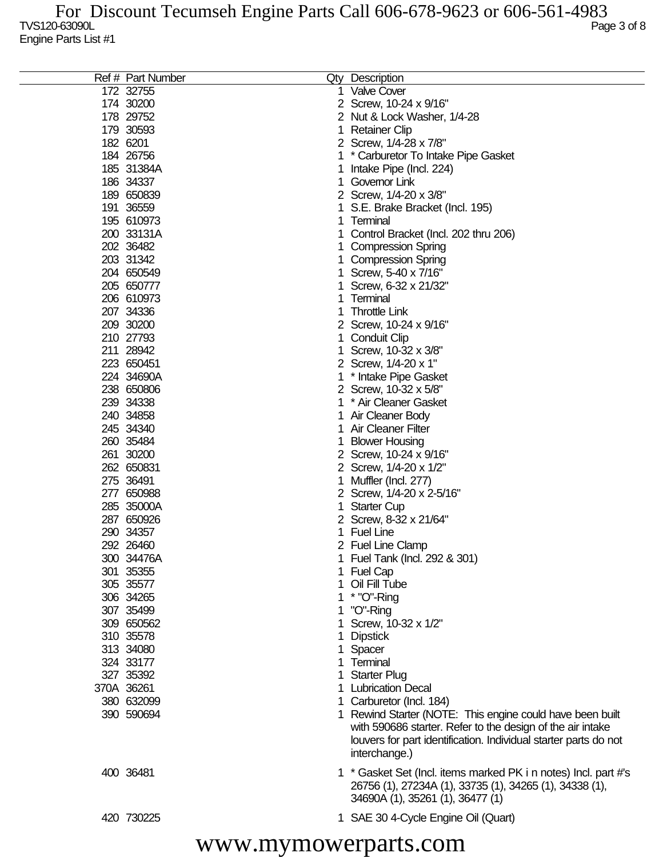| Ref # Part Number |   | Qty Description                                                  |
|-------------------|---|------------------------------------------------------------------|
| 172 32755         |   | 1 Valve Cover                                                    |
| 174 30200         |   | 2 Screw, 10-24 x 9/16"                                           |
| 178 29752         |   | 2 Nut & Lock Washer, 1/4-28                                      |
| 179 30593         | 1 | <b>Retainer Clip</b>                                             |
| 182 6201          |   | 2 Screw, 1/4-28 x 7/8"                                           |
| 184 26756         |   | * Carburetor To Intake Pipe Gasket                               |
| 185 31384A        |   | Intake Pipe (Incl. 224)                                          |
| 186 34337         |   | Governor Link                                                    |
| 189 650839        |   | 2 Screw, 1/4-20 x 3/8"                                           |
| 191 36559         |   | S.E. Brake Bracket (Incl. 195)                                   |
| 195 610973        | 1 | Terminal                                                         |
| 200 33131A        |   | Control Bracket (Incl. 202 thru 206)                             |
| 202 36482         |   | <b>Compression Spring</b>                                        |
| 203 31342         |   | <b>Compression Spring</b>                                        |
| 204 650549        |   | Screw, 5-40 x 7/16"                                              |
| 205 650777        |   | Screw, 6-32 x 21/32"                                             |
| 206 610973        |   | Terminal                                                         |
|                   |   | <b>Throttle Link</b>                                             |
| 207 34336         |   |                                                                  |
| 209 30200         |   | Screw, 10-24 x 9/16"                                             |
| 210 27793         |   | <b>Conduit Clip</b>                                              |
| 211 28942         |   | Screw, 10-32 x 3/8"                                              |
| 223 650451        |   | 2 Screw, 1/4-20 x 1"                                             |
| 224 34690A        |   | * Intake Pipe Gasket                                             |
| 238 650806        |   | 2 Screw, 10-32 x 5/8"                                            |
| 239 34338         |   | * Air Cleaner Gasket                                             |
| 240 34858         |   | Air Cleaner Body                                                 |
| 245 34340         |   | Air Cleaner Filter                                               |
| 260 35484         |   | <b>Blower Housing</b>                                            |
| 261 30200         |   | 2 Screw, 10-24 x 9/16"                                           |
| 262 650831        |   | 2 Screw, 1/4-20 x 1/2"                                           |
| 275 36491         |   | Muffler (Incl. 277)                                              |
| 277 650988        |   | Screw, 1/4-20 x 2-5/16"                                          |
| 285 35000A        |   | <b>Starter Cup</b>                                               |
| 287 650926        |   | 2 Screw, 8-32 x 21/64"                                           |
| 290 34357         |   | <b>Fuel Line</b>                                                 |
| 292 26460         |   | 2 Fuel Line Clamp                                                |
| 300 34476A        |   | 1 Fuel Tank (Incl. 292 & 301)                                    |
| 301 35355         |   | 1 Fuel Cap                                                       |
| 305 35577         |   | 1 Oil Fill Tube                                                  |
| 306 34265         |   | 1 * "O"-Ring                                                     |
| 307 35499         |   | 1 "O"-Ring                                                       |
| 309 650562        |   | 1 Screw, 10-32 x 1/2"                                            |
| 310 35578         |   | <b>Dipstick</b>                                                  |
| 313 34080         |   | 1 Spacer                                                         |
| 324 33177         |   | Terminal                                                         |
| 327 35392         |   | 1 Starter Plug                                                   |
| 370A 36261        |   | 1 Lubrication Decal                                              |
| 380 632099        |   | 1 Carburetor (Incl. 184)                                         |
| 390 590694        |   | 1 Rewind Starter (NOTE: This engine could have been built        |
|                   |   | with 590686 starter. Refer to the design of the air intake       |
|                   |   | louvers for part identification. Individual starter parts do not |
|                   |   | interchange.)                                                    |
|                   |   |                                                                  |
| 400 36481         |   | 1 * Gasket Set (Incl. items marked PK i n notes) Incl. part #'s  |
|                   |   | 26756 (1), 27234A (1), 33735 (1), 34265 (1), 34338 (1),          |
|                   |   | 34690A (1), 35261 (1), 36477 (1)                                 |
| 420 730225        |   | 1 SAE 30 4-Cycle Engine Oil (Quart)                              |
|                   |   |                                                                  |

www.mymowerparts.com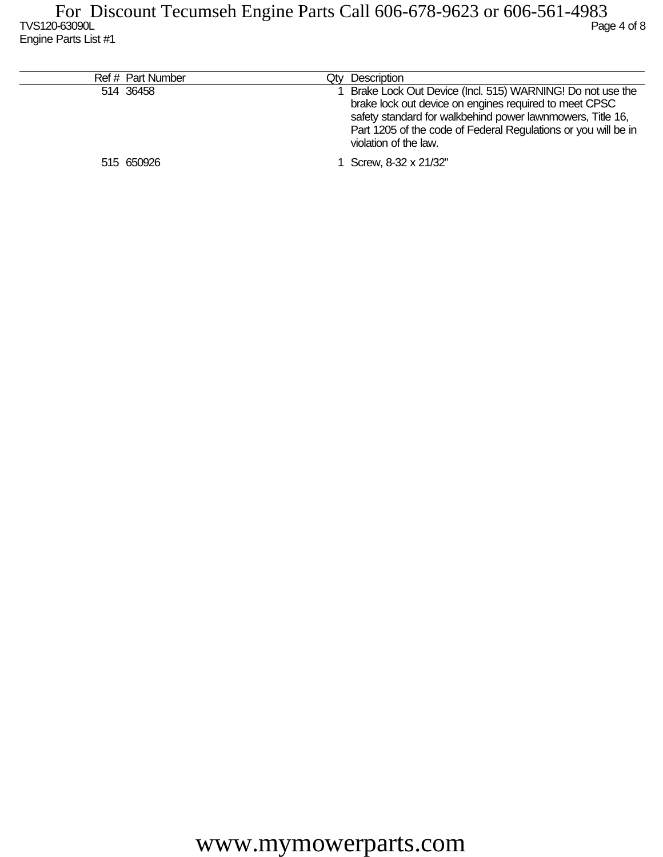| Ref # Part Number | Qty Description                                                                                                                                                                                                                                                              |
|-------------------|------------------------------------------------------------------------------------------------------------------------------------------------------------------------------------------------------------------------------------------------------------------------------|
| 514 36458         | Brake Lock Out Device (Incl. 515) WARNING! Do not use the<br>brake lock out device on engines required to meet CPSC<br>safety standard for walkbehind power lawnmowers, Title 16,<br>Part 1205 of the code of Federal Regulations or you will be in<br>violation of the law. |
| 515 650926        | 1 Screw, 8-32 x 21/32"                                                                                                                                                                                                                                                       |
|                   |                                                                                                                                                                                                                                                                              |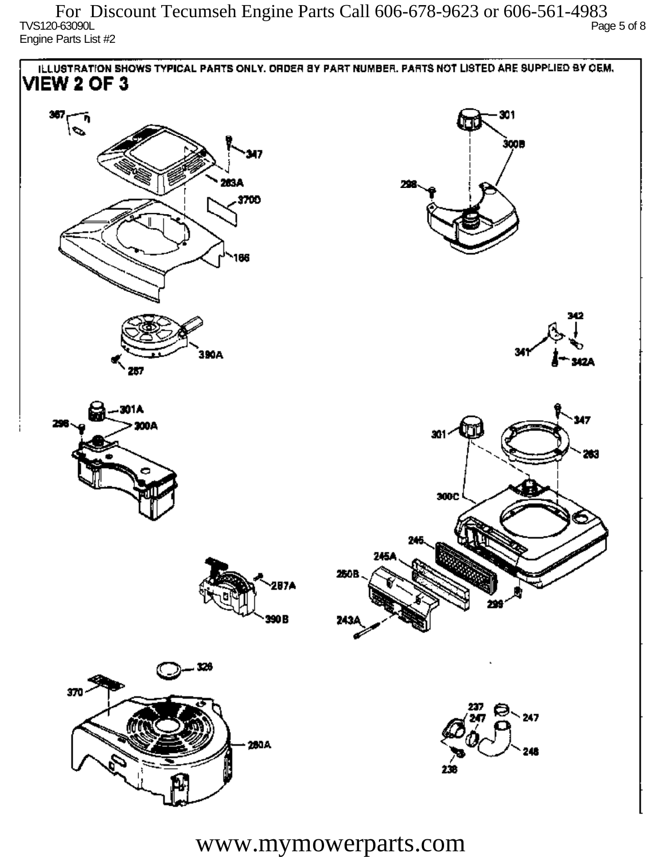TVS120-63090L Page 5 of 8 Engine Parts List #2 For Discount Tecumseh Engine Parts Call 606-678-9623 or 606-561-4983



www.mymowerparts.com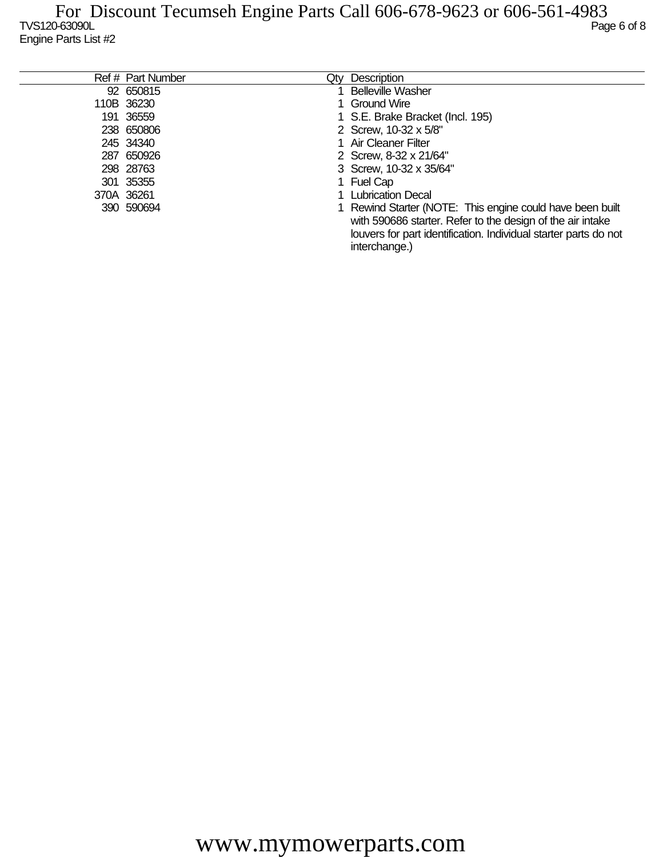| Ref # Part Number | Qtv | Description                                                                                                                                                                                                  |
|-------------------|-----|--------------------------------------------------------------------------------------------------------------------------------------------------------------------------------------------------------------|
| 92 650815         |     | <b>Belleville Washer</b>                                                                                                                                                                                     |
| 110B 36230        |     | 1 Ground Wire                                                                                                                                                                                                |
| 191 36559         |     | 1 S.E. Brake Bracket (Incl. 195)                                                                                                                                                                             |
| 238 650806        |     | 2 Screw, 10-32 x 5/8"                                                                                                                                                                                        |
| 245 34340         |     | 1 Air Cleaner Filter                                                                                                                                                                                         |
| 287 650926        |     | 2 Screw, 8-32 x 21/64"                                                                                                                                                                                       |
| 298 28763         |     | 3 Screw, 10-32 x 35/64"                                                                                                                                                                                      |
| 301 35355         |     | 1 Fuel Cap                                                                                                                                                                                                   |
| 370A 36261        |     | 1 Lubrication Decal                                                                                                                                                                                          |
| 390 590694        |     | 1 Rewind Starter (NOTE: This engine could have been built<br>with 590686 starter. Refer to the design of the air intake<br>louvers for part identification. Individual starter parts do not<br>interchange.) |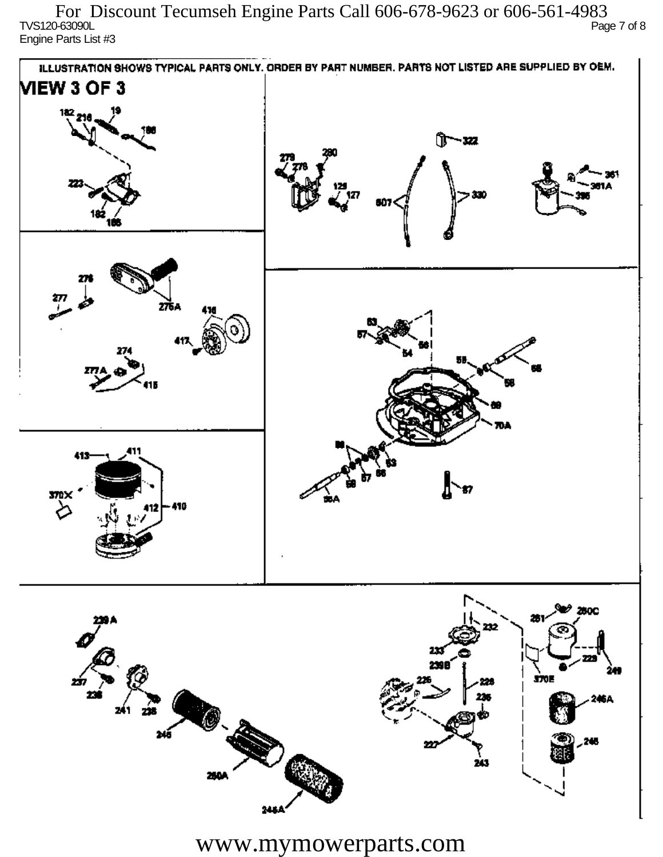TVS120-63090L Page 7 of 8 Engine Parts List #3 For Discount Tecumseh Engine Parts Call 606-678-9623 or 606-561-4983



www.mymowerparts.com